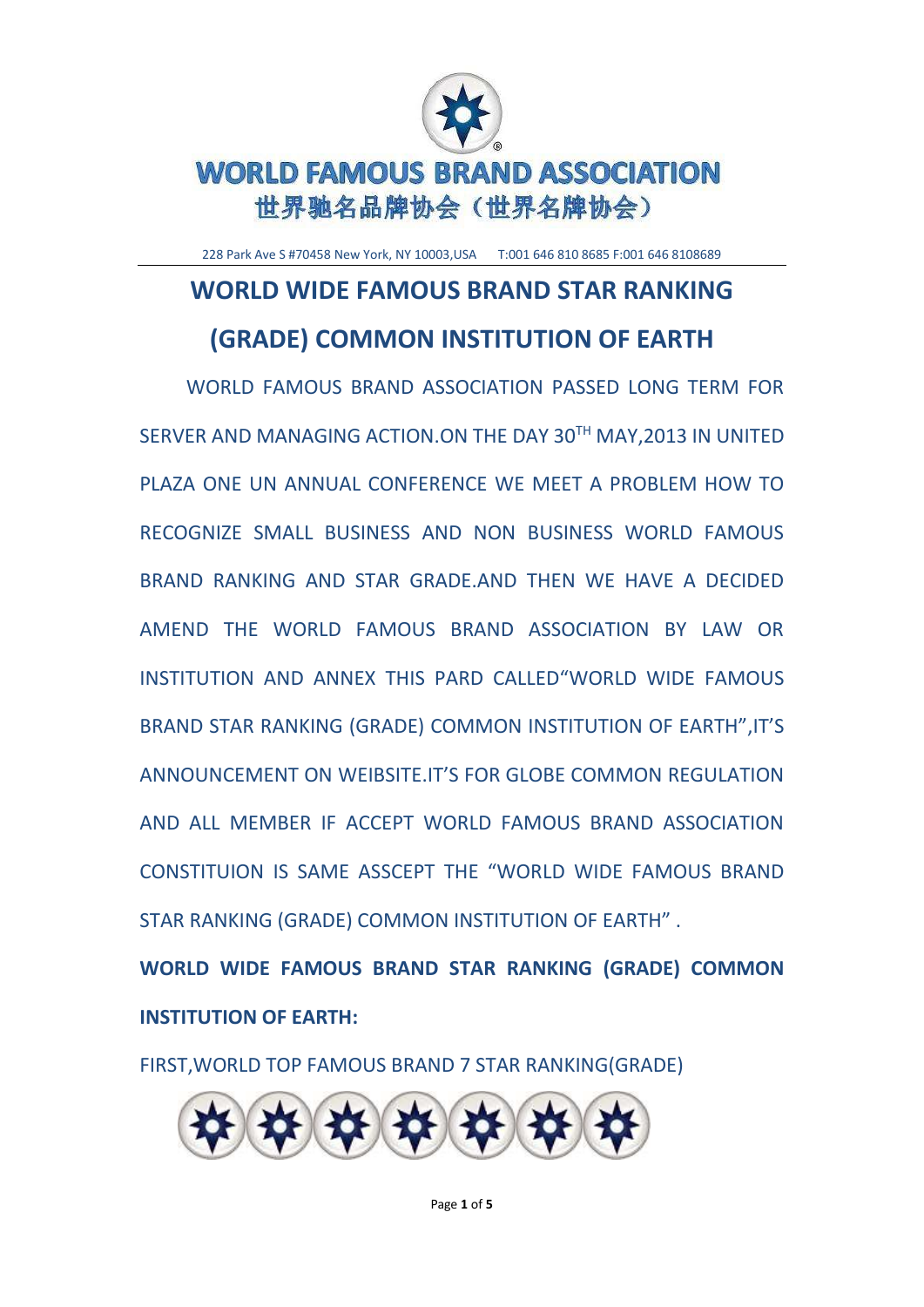

228 Park Ave S #70458 New York, NY 10003,USA T:001 646 810 8685 F:001 646 8108689

# **WORLD WIDE FAMOUS BRAND STAR RANKING (GRADE) COMMON INSTITUTION OF EARTH**

WORLD FAMOUS BRAND ASSOCIATION PASSED LONG TERM FOR SERVER AND MANAGING ACTION.ON THE DAY 30TH MAY,2013 IN UNITED PLAZA ONE UN ANNUAL CONFERENCE WE MEET A PROBLEM HOW TO RECOGNIZE SMALL BUSINESS AND NON BUSINESS WORLD FAMOUS BRAND RANKING AND STAR GRADE.AND THEN WE HAVE A DECIDED AMEND THE WORLD FAMOUS BRAND ASSOCIATION BY LAW OR INSTITUTION AND ANNEX THIS PARD CALLED"WORLD WIDE FAMOUS BRAND STAR RANKING (GRADE) COMMON INSTITUTION OF EARTH",IT'S ANNOUNCEMENT ON WEIBSITE.IT'S FOR GLOBE COMMON REGULATION AND ALL MEMBER IF ACCEPT WORLD FAMOUS BRAND ASSOCIATION CONSTITUION IS SAME ASSCEPT THE "WORLD WIDE FAMOUS BRAND STAR RANKING (GRADE) COMMON INSTITUTION OF EARTH" .

**WORLD WIDE FAMOUS BRAND STAR RANKING (GRADE) COMMON INSTITUTION OF EARTH:**

FIRST,WORLD TOP FAMOUS BRAND 7 STAR RANKING(GRADE)

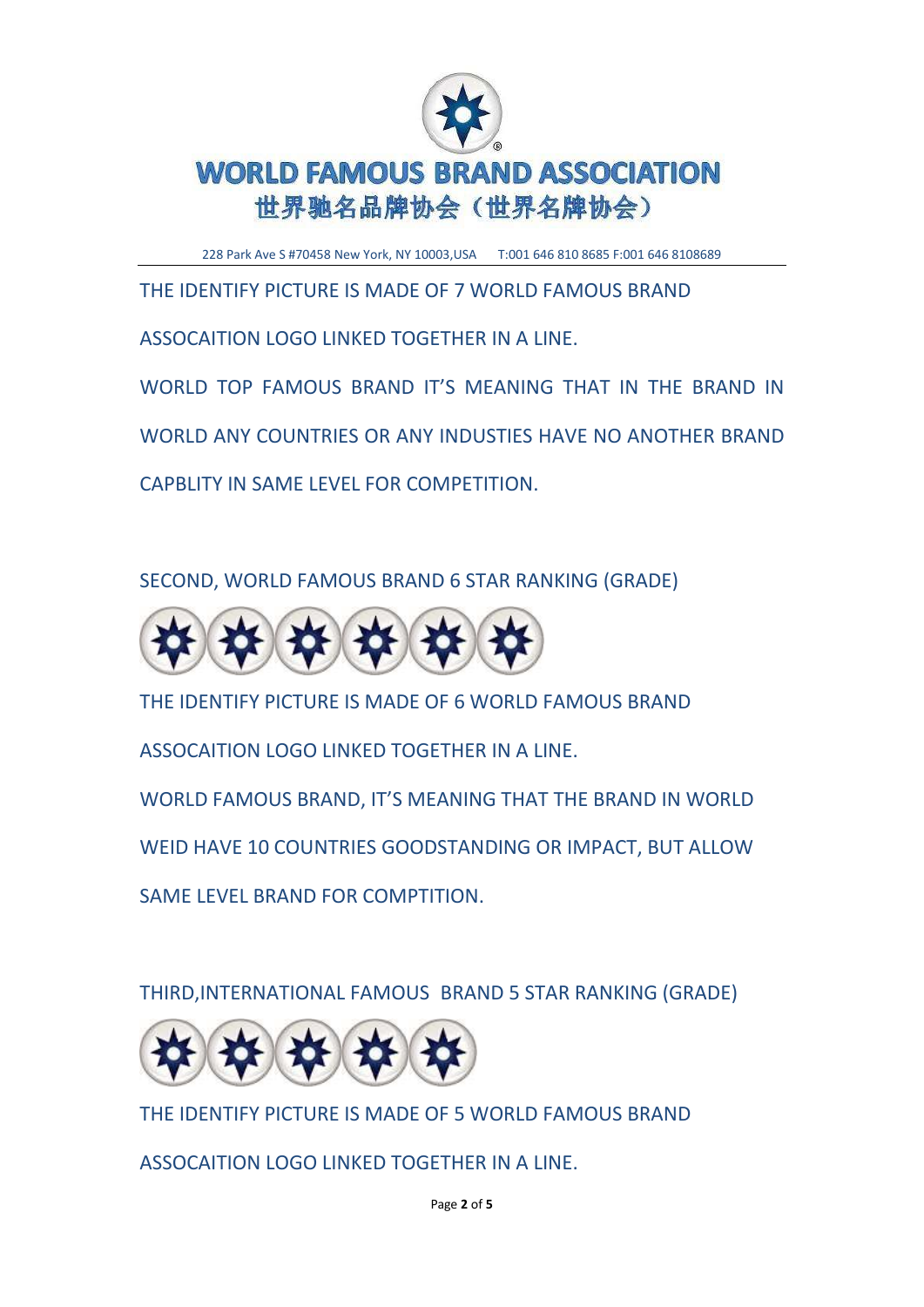

228 Park Ave S #70458 New York, NY 10003,USA T:001 646 810 8685 F:001 646 8108689

THE IDENTIFY PICTURE IS MADE OF 7 WORLD FAMOUS BRAND

ASSOCAITION LOGO LINKED TOGETHER IN A LINE.

WORLD TOP FAMOUS BRAND IT'S MEANING THAT IN THE BRAND IN

WORLD ANY COUNTRIES OR ANY INDUSTIES HAVE NO ANOTHER BRAND

CAPBLITY IN SAME LEVEL FOR COMPETITION.

SECOND, WORLD FAMOUS BRAND 6 STAR RANKING (GRADE)



THE IDENTIFY PICTURE IS MADE OF 6 WORLD FAMOUS BRAND

ASSOCAITION LOGO LINKED TOGETHER IN A LINE.

WORLD FAMOUS BRAND, IT'S MEANING THAT THE BRAND IN WORLD

WEID HAVE 10 COUNTRIES GOODSTANDING OR IMPACT, BUT ALLOW

SAME LEVEL BRAND FOR COMPTITION.

THIRD,INTERNATIONAL FAMOUS BRAND 5 STAR RANKING (GRADE)



THE IDENTIFY PICTURE IS MADE OF 5 WORLD FAMOUS BRAND

ASSOCAITION LOGO LINKED TOGETHER IN A LINE.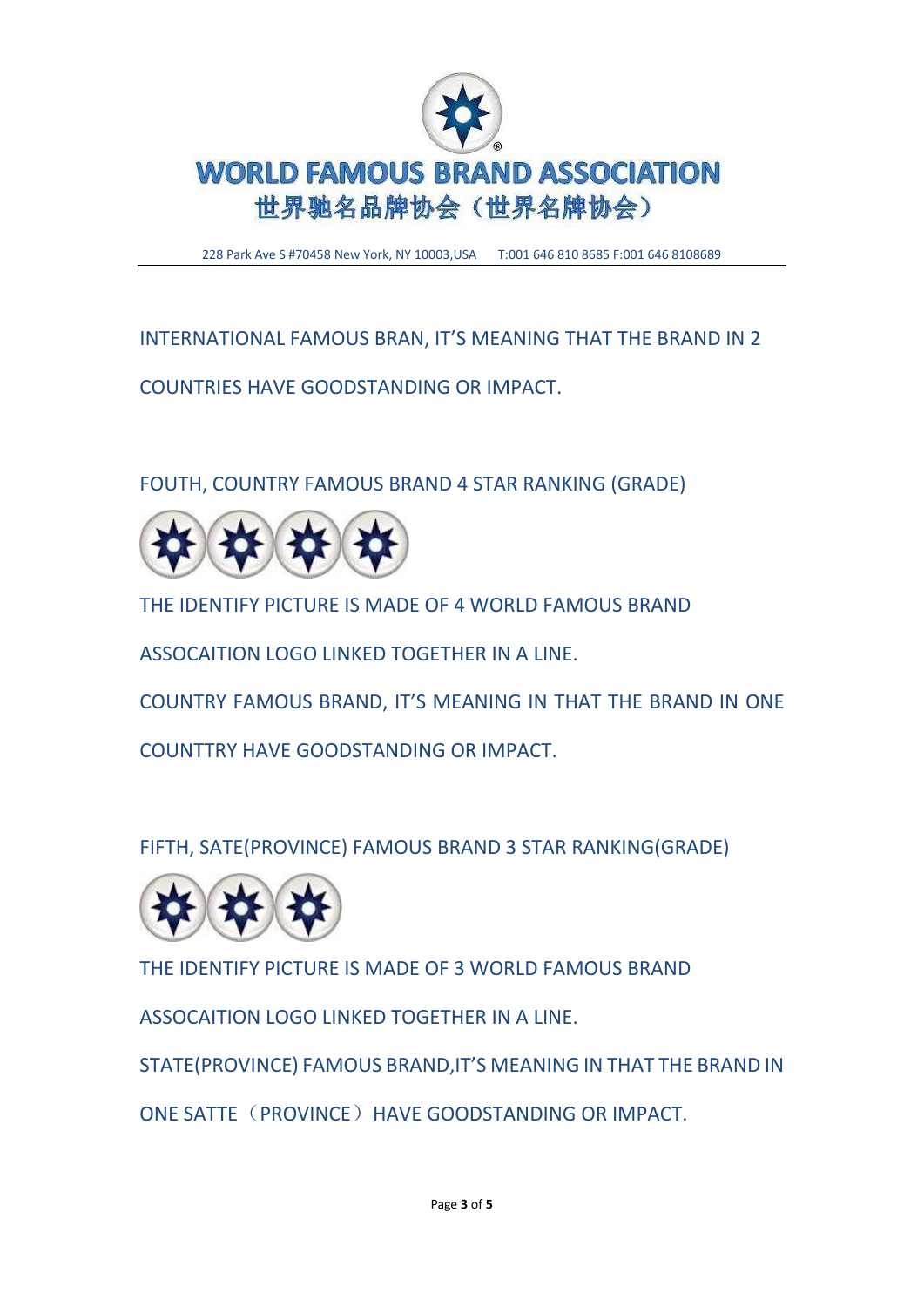

228 Park Ave S #70458 New York, NY 10003,USA T:001 646 810 8685 F:001 646 8108689

INTERNATIONAL FAMOUS BRAN, IT'S MEANING THAT THE BRAND IN 2

COUNTRIES HAVE GOODSTANDING OR IMPACT.

FOUTH, COUNTRY FAMOUS BRAND 4 STAR RANKING (GRADE)



THE IDENTIFY PICTURE IS MADE OF 4 WORLD FAMOUS BRAND

ASSOCAITION LOGO LINKED TOGETHER IN A LINE.

COUNTRY FAMOUS BRAND, IT'S MEANING IN THAT THE BRAND IN ONE

COUNTTRY HAVE GOODSTANDING OR IMPACT.

FIFTH, SATE(PROVINCE) FAMOUS BRAND 3 STAR RANKING(GRADE)



THE IDENTIFY PICTURE IS MADE OF 3 WORLD FAMOUS BRAND

ASSOCAITION LOGO LINKED TOGETHER IN A LINE.

STATE(PROVINCE) FAMOUS BRAND,IT'S MEANING IN THAT THE BRAND IN

ONE SATTE (PROVINCE) HAVE GOODSTANDING OR IMPACT.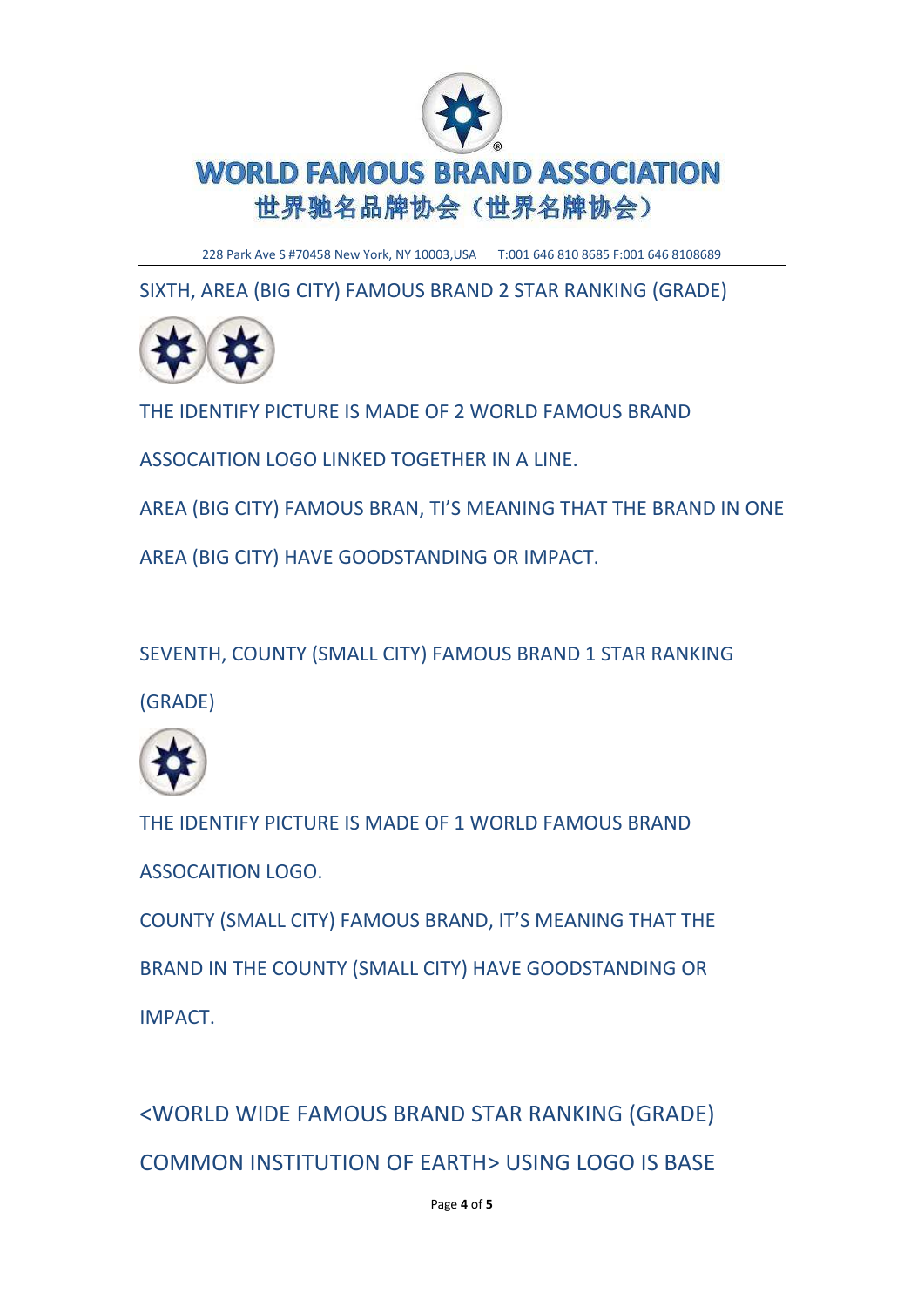

228 Park Ave S #70458 New York, NY 10003,USA T:001 646 810 8685 F:001 646 8108689

SIXTH, AREA (BIG CITY) FAMOUS BRAND 2 STAR RANKING (GRADE)



THE IDENTIFY PICTURE IS MADE OF 2 WORLD FAMOUS BRAND

ASSOCAITION LOGO LINKED TOGETHER IN A LINE.

AREA (BIG CITY) FAMOUS BRAN, TI'S MEANING THAT THE BRAND IN ONE

AREA (BIG CITY) HAVE GOODSTANDING OR IMPACT.

SEVENTH, COUNTY (SMALL CITY) FAMOUS BRAND 1 STAR RANKING

(GRADE)



THE IDENTIFY PICTURE IS MADE OF 1 WORLD FAMOUS BRAND ASSOCAITION LOGO.

COUNTY (SMALL CITY) FAMOUS BRAND, IT'S MEANING THAT THE BRAND IN THE COUNTY (SMALL CITY) HAVE GOODSTANDING OR IMPACT.

<WORLD WIDE FAMOUS BRAND STAR RANKING (GRADE) COMMON INSTITUTION OF EARTH> USING LOGO IS BASE